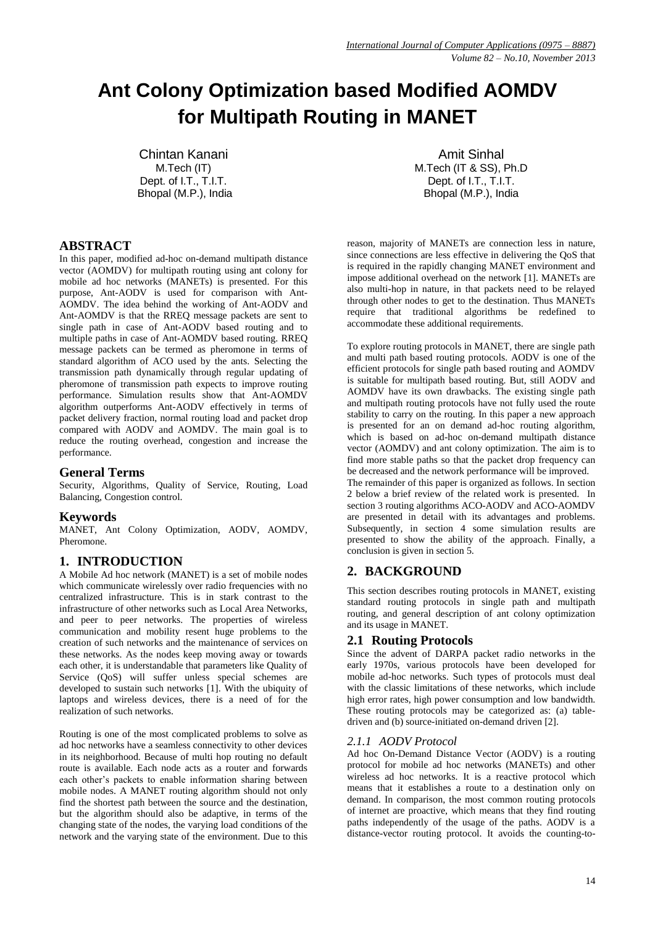# **Ant Colony Optimization based Modified AOMDV for Multipath Routing in MANET**

Chintan Kanani M.Tech (IT) Dept. of I.T., T.I.T. Bhopal (M.P.), India

## Amit Sinhal M.Tech (IT & SS), Ph.D Dept. of I.T., T.I.T. Bhopal (M.P.), India

# **ABSTRACT**

In this paper, modified ad-hoc on-demand multipath distance vector (AOMDV) for multipath routing using ant colony for mobile ad hoc networks (MANETs) is presented. For this purpose, Ant-AODV is used for comparison with Ant-AOMDV. The idea behind the working of Ant-AODV and Ant-AOMDV is that the RREQ message packets are sent to single path in case of Ant-AODV based routing and to multiple paths in case of Ant-AOMDV based routing. RREQ message packets can be termed as pheromone in terms of standard algorithm of ACO used by the ants. Selecting the transmission path dynamically through regular updating of pheromone of transmission path expects to improve routing performance. Simulation results show that Ant-AOMDV algorithm outperforms Ant-AODV effectively in terms of packet delivery fraction, normal routing load and packet drop compared with AODV and AOMDV. The main goal is to reduce the routing overhead, congestion and increase the performance.

# **General Terms**

Security, Algorithms, Quality of Service, Routing, Load Balancing, Congestion control.

# **Keywords**

MANET, Ant Colony Optimization, AODV, AOMDV, Pheromone.

# **1. INTRODUCTION**

A Mobile Ad hoc network (MANET) is a set of mobile nodes which communicate wirelessly over radio frequencies with no centralized infrastructure. This is in stark contrast to the infrastructure of other networks such as Local Area Networks, and peer to peer networks. The properties of wireless communication and mobility resent huge problems to the creation of such networks and the maintenance of services on these networks. As the nodes keep moving away or towards each other, it is understandable that parameters like Quality of Service (QoS) will suffer unless special schemes are developed to sustain such networks [1]. With the ubiquity of laptops and wireless devices, there is a need of for the realization of such networks.

Routing is one of the most complicated problems to solve as ad hoc networks have a seamless connectivity to other devices in its neighborhood. Because of multi hop routing no default route is available. Each node acts as a router and forwards each other's packets to enable information sharing between mobile nodes. A MANET routing algorithm should not only find the shortest path between the source and the destination, but the algorithm should also be adaptive, in terms of the changing state of the nodes, the varying load conditions of the network and the varying state of the environment. Due to this reason, majority of MANETs are connection less in nature, since connections are less effective in delivering the QoS that is required in the rapidly changing MANET environment and impose additional overhead on the network [1]. MANETs are also multi-hop in nature, in that packets need to be relayed through other nodes to get to the destination. Thus MANETs require that traditional algorithms be redefined to accommodate these additional requirements.

To explore routing protocols in MANET, there are single path and multi path based routing protocols. AODV is one of the efficient protocols for single path based routing and AOMDV is suitable for multipath based routing. But, still AODV and AOMDV have its own drawbacks. The existing single path and multipath routing protocols have not fully used the route stability to carry on the routing. In this paper a new approach is presented for an on demand ad-hoc routing algorithm, which is based on ad-hoc on-demand multipath distance vector (AOMDV) and ant colony optimization. The aim is to find more stable paths so that the packet drop frequency can be decreased and the network performance will be improved. The remainder of this paper is organized as follows. In section 2 below a brief review of the related work is presented. In section 3 routing algorithms ACO-AODV and ACO-AOMDV are presented in detail with its advantages and problems. Subsequently, in section 4 some simulation results are presented to show the ability of the approach. Finally, a conclusion is given in section 5.

# **2. BACKGROUND**

This section describes routing protocols in MANET, existing standard routing protocols in single path and multipath routing, and general description of ant colony optimization and its usage in MANET.

# **2.1 Routing Protocols**

Since the advent of DARPA packet radio networks in the early 1970s, various protocols have been developed for mobile ad-hoc networks. Such types of protocols must deal with the classic limitations of these networks, which include high error rates, high power consumption and low bandwidth. These routing protocols may be categorized as: (a) tabledriven and (b) source-initiated on-demand driven [2].

## *2.1.1 AODV Protocol*

Ad hoc On-Demand Distance Vector (AODV) is a routing protocol for mobile ad hoc networks (MANETs) and other wireless ad hoc networks. It is a reactive protocol which means that it establishes a route to a destination only on demand. In comparison, the most common routing protocols of internet are proactive, which means that they find routing paths independently of the usage of the paths. AODV is a distance-vector routing protocol. It avoids the counting-to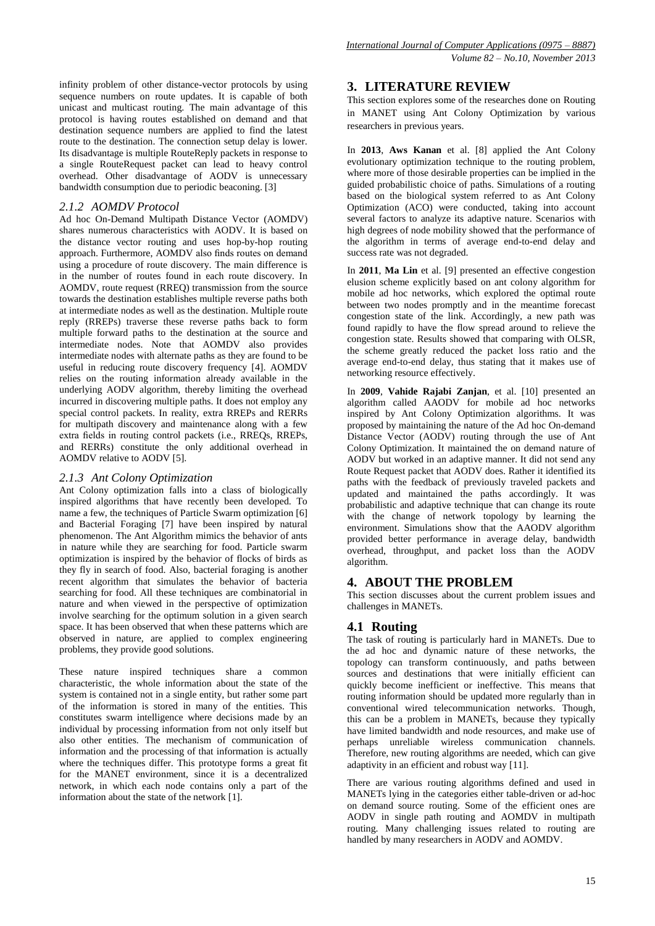infinity problem of other distance-vector protocols by using sequence numbers on route updates. It is capable of both unicast and multicast routing. The main advantage of this protocol is having routes established on demand and that destination sequence numbers are applied to find the latest route to the destination. The connection setup delay is lower. Its disadvantage is multiple RouteReply packets in response to a single RouteRequest packet can lead to heavy control overhead. Other disadvantage of AODV is unnecessary bandwidth consumption due to periodic beaconing. [3]

#### *2.1.2 AOMDV Protocol*

Ad hoc On-Demand Multipath Distance Vector (AOMDV) shares numerous characteristics with AODV. It is based on the distance vector routing and uses hop-by-hop routing approach. Furthermore, AOMDV also finds routes on demand using a procedure of route discovery. The main difference is in the number of routes found in each route discovery. In AOMDV, route request (RREQ) transmission from the source towards the destination establishes multiple reverse paths both at intermediate nodes as well as the destination. Multiple route reply (RREPs) traverse these reverse paths back to form multiple forward paths to the destination at the source and intermediate nodes. Note that AOMDV also provides intermediate nodes with alternate paths as they are found to be useful in reducing route discovery frequency [4]. AOMDV relies on the routing information already available in the underlying AODV algorithm, thereby limiting the overhead incurred in discovering multiple paths. It does not employ any special control packets. In reality, extra RREPs and RERRs for multipath discovery and maintenance along with a few extra fields in routing control packets (i.e., RREQs, RREPs, and RERRs) constitute the only additional overhead in AOMDV relative to AODV [5].

#### *2.1.3 Ant Colony Optimization*

Ant Colony optimization falls into a class of biologically inspired algorithms that have recently been developed. To name a few, the techniques of Particle Swarm optimization [6] and Bacterial Foraging [7] have been inspired by natural phenomenon. The Ant Algorithm mimics the behavior of ants in nature while they are searching for food. Particle swarm optimization is inspired by the behavior of flocks of birds as they fly in search of food. Also, bacterial foraging is another recent algorithm that simulates the behavior of bacteria searching for food. All these techniques are combinatorial in nature and when viewed in the perspective of optimization involve searching for the optimum solution in a given search space. It has been observed that when these patterns which are observed in nature, are applied to complex engineering problems, they provide good solutions.

These nature inspired techniques share a common characteristic, the whole information about the state of the system is contained not in a single entity, but rather some part of the information is stored in many of the entities. This constitutes swarm intelligence where decisions made by an individual by processing information from not only itself but also other entities. The mechanism of communication of information and the processing of that information is actually where the techniques differ. This prototype forms a great fit for the MANET environment, since it is a decentralized network, in which each node contains only a part of the information about the state of the network [1].

## **3. LITERATURE REVIEW**

This section explores some of the researches done on Routing in MANET using Ant Colony Optimization by various researchers in previous years.

In **2013**, **Aws Kanan** et al. [8] applied the Ant Colony evolutionary optimization technique to the routing problem, where more of those desirable properties can be implied in the guided probabilistic choice of paths. Simulations of a routing based on the biological system referred to as Ant Colony Optimization (ACO) were conducted, taking into account several factors to analyze its adaptive nature. Scenarios with high degrees of node mobility showed that the performance of the algorithm in terms of average end-to-end delay and success rate was not degraded.

In **2011**, **Ma Lin** et al. [9] presented an effective congestion elusion scheme explicitly based on ant colony algorithm for mobile ad hoc networks, which explored the optimal route between two nodes promptly and in the meantime forecast congestion state of the link. Accordingly, a new path was found rapidly to have the flow spread around to relieve the congestion state. Results showed that comparing with OLSR, the scheme greatly reduced the packet loss ratio and the average end-to-end delay, thus stating that it makes use of networking resource effectively.

In **2009**, **Vahide Rajabi Zanjan**, et al. [10] presented an algorithm called AAODV for mobile ad hoc networks inspired by Ant Colony Optimization algorithms. It was proposed by maintaining the nature of the Ad hoc On-demand Distance Vector (AODV) routing through the use of Ant Colony Optimization. It maintained the on demand nature of AODV but worked in an adaptive manner. It did not send any Route Request packet that AODV does. Rather it identified its paths with the feedback of previously traveled packets and updated and maintained the paths accordingly. It was probabilistic and adaptive technique that can change its route with the change of network topology by learning the environment. Simulations show that the AAODV algorithm provided better performance in average delay, bandwidth overhead, throughput, and packet loss than the AODV algorithm.

#### **4. ABOUT THE PROBLEM**

This section discusses about the current problem issues and challenges in MANETs.

#### **4.1 Routing**

The task of routing is particularly hard in MANETs. Due to the ad hoc and dynamic nature of these networks, the topology can transform continuously, and paths between sources and destinations that were initially efficient can quickly become inefficient or ineffective. This means that routing information should be updated more regularly than in conventional wired telecommunication networks. Though, this can be a problem in MANETs, because they typically have limited bandwidth and node resources, and make use of perhaps unreliable wireless communication channels. Therefore, new routing algorithms are needed, which can give adaptivity in an efficient and robust way [11].

There are various routing algorithms defined and used in MANETs lying in the categories either table-driven or ad-hoc on demand source routing. Some of the efficient ones are AODV in single path routing and AOMDV in multipath routing. Many challenging issues related to routing are handled by many researchers in AODV and AOMDV.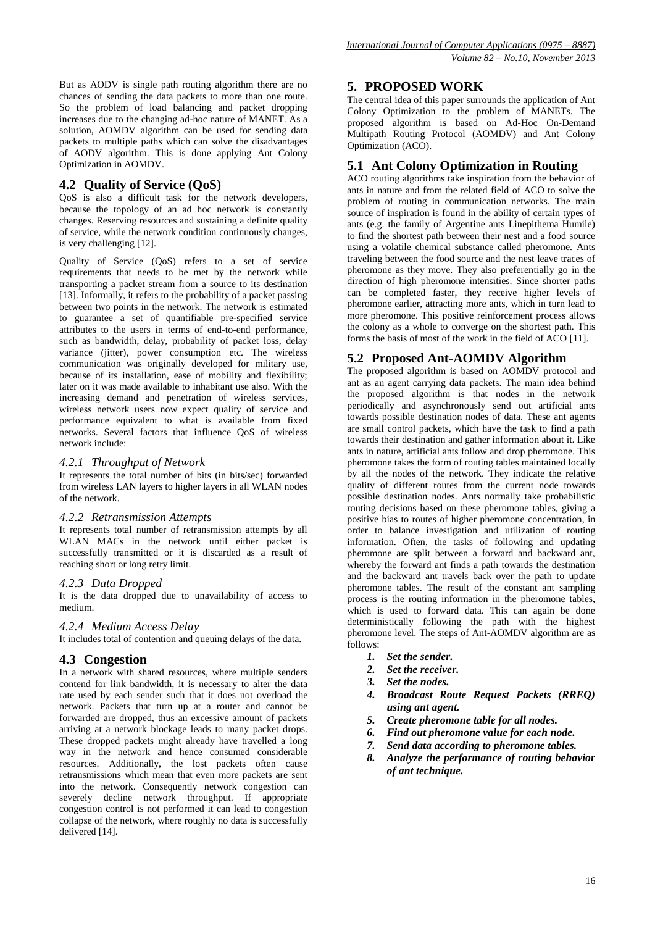But as AODV is single path routing algorithm there are no chances of sending the data packets to more than one route. So the problem of load balancing and packet dropping increases due to the changing ad-hoc nature of MANET. As a solution. AOMDV algorithm can be used for sending data packets to multiple paths which can solve the disadvantages of AODV algorithm. This is done applying Ant Colony Optimization in AOMDV.

# **4.2 Quality of Service (QoS)**

QoS is also a difficult task for the network developers, because the topology of an ad hoc network is constantly changes. Reserving resources and sustaining a definite quality of service, while the network condition continuously changes, is very challenging [12].

Quality of Service (QoS) refers to a set of service requirements that needs to be met by the network while transporting a packet stream from a source to its destination [13]. Informally, it refers to the probability of a packet passing between two points in the network. The network is estimated to guarantee a set of quantifiable pre-specified service attributes to the users in terms of end-to-end performance, such as bandwidth, delay, probability of packet loss, delay variance (jitter), power consumption etc. The wireless communication was originally developed for military use, because of its installation, ease of mobility and flexibility; later on it was made available to inhabitant use also. With the increasing demand and penetration of wireless services, wireless network users now expect quality of service and performance equivalent to what is available from fixed networks. Several factors that influence QoS of wireless network include:

## *4.2.1 Throughput of Network*

It represents the total number of bits (in bits/sec) forwarded from wireless LAN layers to higher layers in all WLAN nodes of the network.

## *4.2.2 Retransmission Attempts*

It represents total number of retransmission attempts by all WLAN MACs in the network until either packet is successfully transmitted or it is discarded as a result of reaching short or long retry limit.

## *4.2.3 Data Dropped*

It is the data dropped due to unavailability of access to medium.

## *4.2.4 Medium Access Delay*

It includes total of contention and queuing delays of the data.

## **4.3 Congestion**

In a network with shared resources, where multiple senders contend for link bandwidth, it is necessary to alter the data rate used by each sender such that it does not overload the network. Packets that turn up at a router and cannot be forwarded are dropped, thus an excessive amount of packets arriving at a network blockage leads to many packet drops. These dropped packets might already have travelled a long way in the network and hence consumed considerable resources. Additionally, the lost packets often cause retransmissions which mean that even more packets are sent into the network. Consequently network congestion can severely decline network throughput. If appropriate congestion control is not performed it can lead to congestion collapse of the network, where roughly no data is successfully delivered [14].

## **5. PROPOSED WORK**

The central idea of this paper surrounds the application of Ant Colony Optimization to the problem of MANETs. The proposed algorithm is based on Ad-Hoc On-Demand Multipath Routing Protocol (AOMDV) and Ant Colony Optimization (ACO).

## **5.1 Ant Colony Optimization in Routing**

ACO routing algorithms take inspiration from the behavior of ants in nature and from the related field of ACO to solve the problem of routing in communication networks. The main source of inspiration is found in the ability of certain types of ants (e.g. the family of Argentine ants Linepithema Humile) to find the shortest path between their nest and a food source using a volatile chemical substance called pheromone. Ants traveling between the food source and the nest leave traces of pheromone as they move. They also preferentially go in the direction of high pheromone intensities. Since shorter paths can be completed faster, they receive higher levels of pheromone earlier, attracting more ants, which in turn lead to more pheromone. This positive reinforcement process allows the colony as a whole to converge on the shortest path. This forms the basis of most of the work in the field of ACO [11].

## **5.2 Proposed Ant-AOMDV Algorithm**

The proposed algorithm is based on AOMDV protocol and ant as an agent carrying data packets. The main idea behind the proposed algorithm is that nodes in the network periodically and asynchronously send out artificial ants towards possible destination nodes of data. These ant agents are small control packets, which have the task to find a path towards their destination and gather information about it. Like ants in nature, artificial ants follow and drop pheromone. This pheromone takes the form of routing tables maintained locally by all the nodes of the network. They indicate the relative quality of different routes from the current node towards possible destination nodes. Ants normally take probabilistic routing decisions based on these pheromone tables, giving a positive bias to routes of higher pheromone concentration, in order to balance investigation and utilization of routing information. Often, the tasks of following and updating pheromone are split between a forward and backward ant, whereby the forward ant finds a path towards the destination and the backward ant travels back over the path to update pheromone tables. The result of the constant ant sampling process is the routing information in the pheromone tables, which is used to forward data. This can again be done deterministically following the path with the highest pheromone level. The steps of Ant-AOMDV algorithm are as follows:

- *1. Set the sender.*
- *2. Set the receiver.*
- *3. Set the nodes.*
- *4. Broadcast Route Request Packets (RREQ) using ant agent.*
- *5. Create pheromone table for all nodes.*
- *6. Find out pheromone value for each node.*
- *7. Send data according to pheromone tables.*
- *8. Analyze the performance of routing behavior of ant technique.*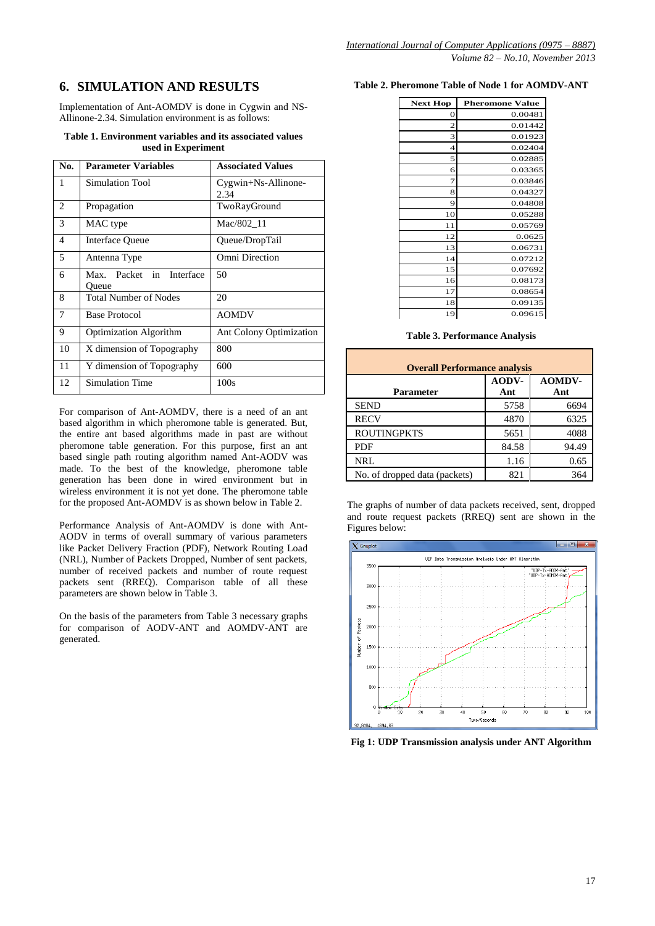# **6. SIMULATION AND RESULTS**

Implementation of Ant-AOMDV is done in Cygwin and NS-Allinone-2.34. Simulation environment is as follows:

#### **Table 1. Environment variables and its associated values used in Experiment**

| No. | <b>Parameter Variables</b>        | <b>Associated Values</b>       |  |
|-----|-----------------------------------|--------------------------------|--|
| 1   | Simulation Tool                   | $Cygwin+Ns-Allinone-$<br>2.34  |  |
| 2   | Propagation                       | TwoRayGround                   |  |
| 3   | MAC type                          | Mac/802 11                     |  |
| 4   | <b>Interface Queue</b>            | Queue/DropTail                 |  |
| 5   | Antenna Type                      | Omni Direction                 |  |
| 6   | Max. Packet in Interface<br>Oueue | 50                             |  |
| 8   | <b>Total Number of Nodes</b>      | 20                             |  |
| 7   | <b>Base Protocol</b>              | <b>AOMDV</b>                   |  |
| 9   | Optimization Algorithm            | <b>Ant Colony Optimization</b> |  |
| 10  | X dimension of Topography         | 800                            |  |
| 11  | Y dimension of Topography         | 600                            |  |
| 12  | <b>Simulation Time</b>            | 100s                           |  |

For comparison of Ant-AOMDV, there is a need of an ant based algorithm in which pheromone table is generated. But, the entire ant based algorithms made in past are without pheromone table generation. For this purpose, first an ant based single path routing algorithm named Ant-AODV was made. To the best of the knowledge, pheromone table generation has been done in wired environment but in wireless environment it is not yet done. The pheromone table for the proposed Ant-AOMDV is as shown below in Table 2.

Performance Analysis of Ant-AOMDV is done with Ant-AODV in terms of overall summary of various parameters like Packet Delivery Fraction (PDF), Network Routing Load (NRL), Number of Packets Dropped, Number of sent packets, number of received packets and number of route request packets sent (RREQ). Comparison table of all these parameters are shown below in Table 3.

On the basis of the parameters from Table 3 necessary graphs for comparison of AODV-ANT and AOMDV-ANT are generated.

#### **Table 2. Pheromone Table of Node 1 for AOMDV-ANT**

| <b>Next Hop</b>         | <b>Pheromone Value</b> |  |
|-------------------------|------------------------|--|
| 0                       | 0.00481                |  |
| $\overline{\mathbf{c}}$ | 0.01442                |  |
| 3                       | 0.01923                |  |
| $\overline{4}$          | 0.02404                |  |
| 5                       | 0.02885                |  |
| 6                       | 0.03365                |  |
| 7                       | 0.03846                |  |
| 8                       | 0.04327                |  |
| 9                       | 0.04808                |  |
| 10                      | 0.05288                |  |
| 11                      | 0.05769                |  |
| 12                      | 0.0625                 |  |
| 13                      | 0.06731                |  |
| 14                      | 0.07212                |  |
| 15                      | 0.07692                |  |
| 16                      | 0.08173                |  |
| 17                      | 0.08654                |  |
| 18                      | 0.09135                |  |
| 19                      | 0.09615                |  |

#### **Table 3. Performance Analysis**

| <b>Overall Performance analysis</b> |              |                      |  |  |
|-------------------------------------|--------------|----------------------|--|--|
| Parameter                           | AODV-<br>Ant | <b>AOMDV-</b><br>Ant |  |  |
| <b>SEND</b>                         | 5758         | 6694                 |  |  |
| <b>RECV</b>                         | 4870         | 6325                 |  |  |
| <b>ROUTINGPKTS</b>                  | 5651         | 4088                 |  |  |
| <b>PDF</b>                          | 84.58        | 94.49                |  |  |
| <b>NRL</b>                          | 1.16         | 0.65                 |  |  |
| No. of dropped data (packets)       | 821          | 364                  |  |  |

The graphs of number of data packets received, sent, dropped and route request packets (RREQ) sent are shown in the Figures below:



**Fig 1: UDP Transmission analysis under ANT Algorithm**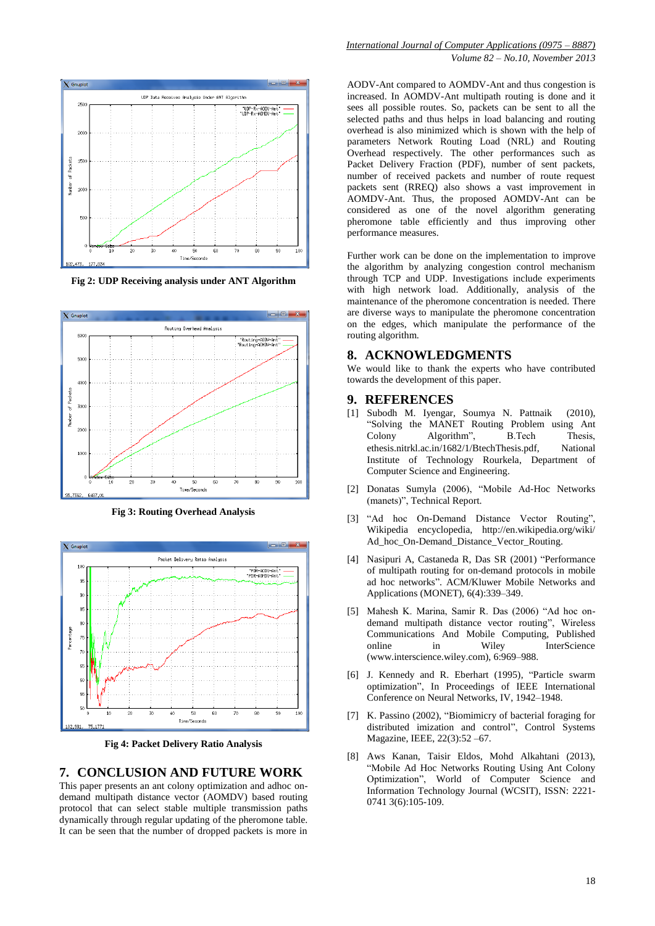

**Fig 2: UDP Receiving analysis under ANT Algorithm**



**Fig 3: Routing Overhead Analysis**



**Fig 4: Packet Delivery Ratio Analysis**

#### **7. CONCLUSION AND FUTURE WORK**

This paper presents an ant colony optimization and adhoc ondemand multipath distance vector (AOMDV) based routing protocol that can select stable multiple transmission paths dynamically through regular updating of the pheromone table. It can be seen that the number of dropped packets is more in

AODV-Ant compared to AOMDV-Ant and thus congestion is increased. In AOMDV-Ant multipath routing is done and it sees all possible routes. So, packets can be sent to all the selected paths and thus helps in load balancing and routing overhead is also minimized which is shown with the help of parameters Network Routing Load (NRL) and Routing Overhead respectively. The other performances such as Packet Delivery Fraction (PDF), number of sent packets, number of received packets and number of route request packets sent (RREQ) also shows a vast improvement in AOMDV-Ant. Thus, the proposed AOMDV-Ant can be considered as one of the novel algorithm generating pheromone table efficiently and thus improving other performance measures.

Further work can be done on the implementation to improve the algorithm by analyzing congestion control mechanism through TCP and UDP. Investigations include experiments with high network load. Additionally, analysis of the maintenance of the pheromone concentration is needed. There are diverse ways to manipulate the pheromone concentration on the edges, which manipulate the performance of the routing algorithm.

## **8. ACKNOWLEDGMENTS**

We would like to thank the experts who have contributed towards the development of this paper.

#### **9. REFERENCES**

- [1] Subodh M. Iyengar, Soumya N. Pattnaik (2010), "Solving the MANET Routing Problem using Ant Colony Algorithm", B.Tech Thesis, ethesis.nitrkl.ac.in/1682/1/BtechThesis.pdf, National Institute of Technology Rourkela, Department of Computer Science and Engineering.
- [2] Donatas Sumyla (2006), "Mobile Ad-Hoc Networks (manets)", Technical Report.
- [3] "Ad hoc On-Demand Distance Vector Routing", Wikipedia encyclopedia, http://en.wikipedia.org/wiki/ Ad\_hoc\_On-Demand\_Distance\_Vector\_Routing.
- [4] Nasipuri A, Castaneda R, Das SR (2001) "Performance of multipath routing for on-demand protocols in mobile ad hoc networks". ACM/Kluwer Mobile Networks and Applications (MONET), 6(4):339–349.
- [5] Mahesh K. Marina, Samir R. Das (2006) "Ad hoc ondemand multipath distance vector routing", Wireless Communications And Mobile Computing, Published online in Wiley InterScience (www.interscience.wiley.com), 6:969–988.
- [6] J. Kennedy and R. Eberhart (1995), "Particle swarm optimization", In Proceedings of IEEE International Conference on Neural Networks, IV, 1942–1948.
- [7] K. Passino (2002), "Biomimicry of bacterial foraging for distributed imization and control", Control Systems Magazine, IEEE, 22(3):52 –67.
- [8] Aws Kanan, Taisir Eldos, Mohd Alkahtani (2013), "Mobile Ad Hoc Networks Routing Using Ant Colony Optimization", World of Computer Science and Information Technology Journal (WCSIT), ISSN: 2221- 0741 3(6):105-109.